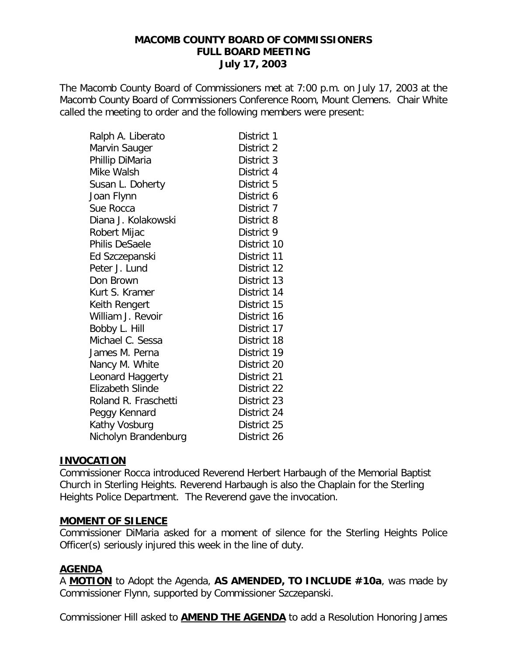The Macomb County Board of Commissioners met at 7:00 p.m. on July 17, 2003 at the Macomb County Board of Commissioners Conference Room, Mount Clemens. Chair White called the meeting to order and the following members were present:

| Ralph A. Liberato    | District 1  |
|----------------------|-------------|
| Marvin Sauger        | District 2  |
| Phillip DiMaria      | District 3  |
| Mike Walsh           | District 4  |
| Susan L. Doherty     | District 5  |
| Joan Flynn           | District 6  |
| Sue Rocca            | District 7  |
| Diana J. Kolakowski  | District 8  |
| Robert Mijac         | District 9  |
| Philis DeSaele       | District 10 |
| Ed Szczepanski       | District 11 |
| Peter J. Lund        | District 12 |
| Don Brown            | District 13 |
| Kurt S. Kramer       | District 14 |
| Keith Rengert        | District 15 |
| William J. Revoir    | District 16 |
| Bobby L. Hill        | District 17 |
| Michael C. Sessa     | District 18 |
| James M. Perna       | District 19 |
| Nancy M. White       | District 20 |
| Leonard Haggerty     | District 21 |
| Elizabeth Slinde     | District 22 |
| Roland R. Fraschetti | District 23 |
| Peggy Kennard        | District 24 |
| Kathy Vosburg        | District 25 |
| Nicholyn Brandenburg | District 26 |

### **INVOCATION**

Commissioner Rocca introduced Reverend Herbert Harbaugh of the Memorial Baptist Church in Sterling Heights. Reverend Harbaugh is also the Chaplain for the Sterling Heights Police Department. The Reverend gave the invocation.

### **MOMENT OF SILENCE**

Commissioner DiMaria asked for a moment of silence for the Sterling Heights Police Officer(s) seriously injured this week in the line of duty.

### **AGENDA**

A **MOTION** to Adopt the Agenda, **AS AMENDED, TO INCLUDE #10a**, was made by Commissioner Flynn, supported by Commissioner Szczepanski.

Commissioner Hill asked to **AMEND THE AGENDA** to add a Resolution Honoring James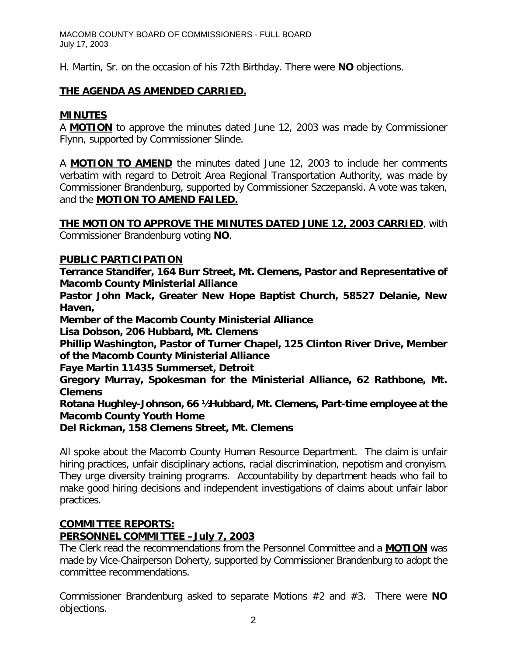H. Martin, Sr. on the occasion of his 72th Birthday. There were **NO** objections.

# **THE AGENDA AS AMENDED CARRIED.**

# **MINUTES**

A **MOTION** to approve the minutes dated June 12, 2003 was made by Commissioner Flynn, supported by Commissioner Slinde.

A **MOTION TO AMEND** the minutes dated June 12, 2003 to include her comments verbatim with regard to Detroit Area Regional Transportation Authority, was made by Commissioner Brandenburg, supported by Commissioner Szczepanski. A vote was taken, and the **MOTION TO AMEND FAILED.**

**THE MOTION TO APPROVE THE MINUTES DATED JUNE 12, 2003 CARRIED**, with Commissioner Brandenburg voting **NO**.

## **PUBLIC PARTICIPATION**

*Terrance Standifer, 164 Burr Street, Mt. Clemens, Pastor and Representative of Macomb County Ministerial Alliance*

*Pastor John Mack, Greater New Hope Baptist Church, 58527 Delanie, New Haven,*

*Member of the Macomb County Ministerial Alliance*

*Lisa Dobson, 206 Hubbard, Mt. Clemens*

*Phillip Washington, Pastor of Turner Chapel, 125 Clinton River Drive, Member of the Macomb County Ministerial Alliance*

*Faye Martin 11435 Summerset, Detroit*

*Gregory Murray, Spokesman for the Ministerial Alliance, 62 Rathbone, Mt. Clemens*

*Rotana Hughley-Johnson, 66 ½ Hubbard, Mt. Clemens, Part-time employee at the Macomb County Youth Home*

*Del Rickman, 158 Clemens Street, Mt. Clemens*

All spoke about the Macomb County Human Resource Department. The claim is unfair hiring practices, unfair disciplinary actions, racial discrimination, nepotism and cronyism. They urge diversity training programs. Accountability by department heads who fail to make good hiring decisions and independent investigations of claims about unfair labor practices.

## **COMMITTEE REPORTS:**

## *PERSONNEL COMMITTEE –July 7, 2003*

The Clerk read the recommendations from the Personnel Committee and a **MOTION** was made by Vice-Chairperson Doherty, supported by Commissioner Brandenburg to adopt the committee recommendations.

Commissioner Brandenburg asked to separate Motions #2 and #3. There were **NO** objections.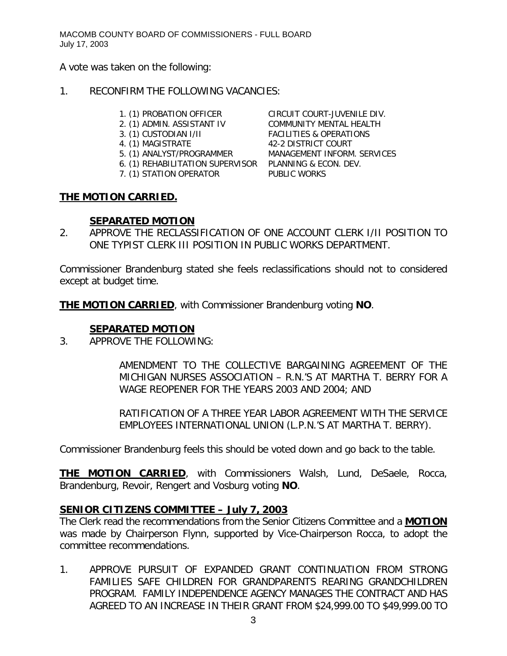A vote was taken on the following:

### 1. RECONFIRM THE FOLLOWING VACANCIES:

- 
- 
- 
- 
- 
- 6. (1) REHABILITATION SUPERVISOR PLANNING & ECON. DEV.
- 7. (1) STATION OPERATOR PUBLIC WORKS

1. (1) PROBATION OFFICER CIRCUIT COURT-JUVENILE DIV. 2. (1) ADMIN. ASSISTANT IV COMMUNITY MENTAL HEALTH 3. (1) CUSTODIAN I/II FACILITIES & OPERATIONS 4. (1) MAGISTRATE 42-2 DISTRICT COURT 4. (1) MAGISTRATE 42-2 DISTRICT COURT<br>5. (1) ANALYST/PROGRAMMER MANAGEMENT INFORM. SERVICES

## **THE MOTION CARRIED.**

## **SEPARATED MOTION**

2. APPROVE THE RECLASSIFICATION OF ONE ACCOUNT CLERK I/II POSITION TO ONE TYPIST CLERK III POSITION IN PUBLIC WORKS DEPARTMENT.

Commissioner Brandenburg stated she feels reclassifications should not to considered except at budget time.

**THE MOTION CARRIED**, with Commissioner Brandenburg voting **NO**.

## **SEPARATED MOTION**

3. APPROVE THE FOLLOWING:

AMENDMENT TO THE COLLECTIVE BARGAINING AGREEMENT OF THE MICHIGAN NURSES ASSOCIATION – R.N.'S AT MARTHA T. BERRY FOR A WAGE REOPENER FOR THE YEARS 2003 AND 2004; AND

RATIFICATION OF A THREE YEAR LABOR AGREEMENT WITH THE SERVICE EMPLOYEES INTERNATIONAL UNION (L.P.N.'S AT MARTHA T. BERRY).

Commissioner Brandenburg feels this should be voted down and go back to the table.

**THE MOTION CARRIED**, with Commissioners Walsh, Lund, DeSaele, Rocca, Brandenburg, Revoir, Rengert and Vosburg voting **NO**.

## *SENIOR CITIZENS COMMITTEE – July 7, 2003*

The Clerk read the recommendations from the Senior Citizens Committee and a **MOTION** was made by Chairperson Flynn, supported by Vice-Chairperson Rocca, to adopt the committee recommendations.

1. APPROVE PURSUIT OF EXPANDED GRANT CONTINUATION FROM STRONG FAMILIES SAFE CHILDREN FOR GRANDPARENTS REARING GRANDCHILDREN PROGRAM. FAMILY INDEPENDENCE AGENCY MANAGES THE CONTRACT AND HAS AGREED TO AN INCREASE IN THEIR GRANT FROM \$24,999.00 TO \$49,999.00 TO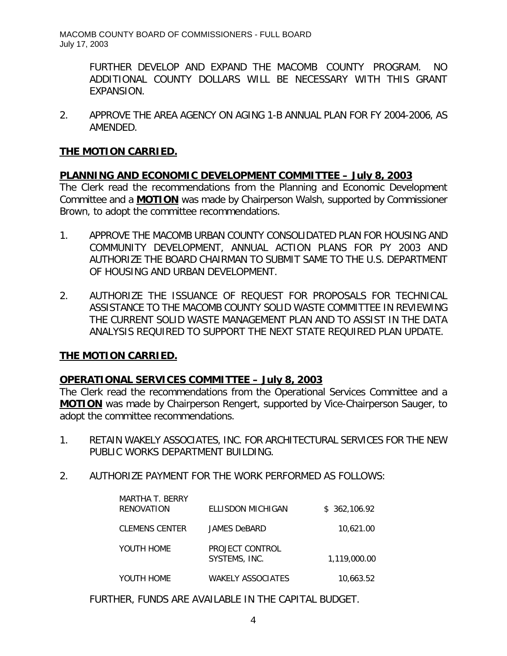> FURTHER DEVELOP AND EXPAND THE MACOMB COUNTY PROGRAM. NO ADDITIONAL COUNTY DOLLARS WILL BE NECESSARY WITH THIS GRANT EXPANSION.

2. APPROVE THE AREA AGENCY ON AGING 1-B ANNUAL PLAN FOR FY 2004-2006, AS AMENDED.

### **THE MOTION CARRIED.**

## *PLANNING AND ECONOMIC DEVELOPMENT COMMITTEE – July 8, 2003*

The Clerk read the recommendations from the Planning and Economic Development Committee and a **MOTION** was made by Chairperson Walsh, supported by Commissioner Brown, to adopt the committee recommendations.

- 1. APPROVE THE MACOMB URBAN COUNTY CONSOLIDATED PLAN FOR HOUSING AND COMMUNITY DEVELOPMENT, ANNUAL ACTION PLANS FOR PY 2003 AND AUTHORIZE THE BOARD CHAIRMAN TO SUBMIT SAME TO THE U.S. DEPARTMENT OF HOUSING AND URBAN DEVELOPMENT.
- 2. AUTHORIZE THE ISSUANCE OF REQUEST FOR PROPOSALS FOR TECHNICAL ASSISTANCE TO THE MACOMB COUNTY SOLID WASTE COMMITTEE IN REVIEWING THE CURRENT SOLID WASTE MANAGEMENT PLAN AND TO ASSIST IN THE DATA ANALYSIS REQUIRED TO SUPPORT THE NEXT STATE REQUIRED PLAN UPDATE.

### **THE MOTION CARRIED.**

### *OPERATIONAL SERVICES COMMITTEE – July 8, 2003*

The Clerk read the recommendations from the Operational Services Committee and a **MOTION** was made by Chairperson Rengert, supported by Vice-Chairperson Sauger, to adopt the committee recommendations.

- 1. RETAIN WAKELY ASSOCIATES, INC. FOR ARCHITECTURAL SERVICES FOR THE NEW PUBLIC WORKS DEPARTMENT BUILDING.
- 2. AUTHORIZE PAYMENT FOR THE WORK PERFORMED AS FOLLOWS:

| MARTHA T. BERRY<br>RENOVATION | ELLISDON MICHIGAN                | \$362,106.92 |
|-------------------------------|----------------------------------|--------------|
| <b>CLEMENS CENTER</b>         | JAMES DeBARD                     | 10,621.00    |
| YOUTH HOME                    | PROJECT CONTROL<br>SYSTEMS, INC. | 1,119,000.00 |
| YOUTH HOME                    | <b>WAKELY ASSOCIATES</b>         | 10.663.52    |

FURTHER, FUNDS ARE AVAILABLE IN THE CAPITAL BUDGET.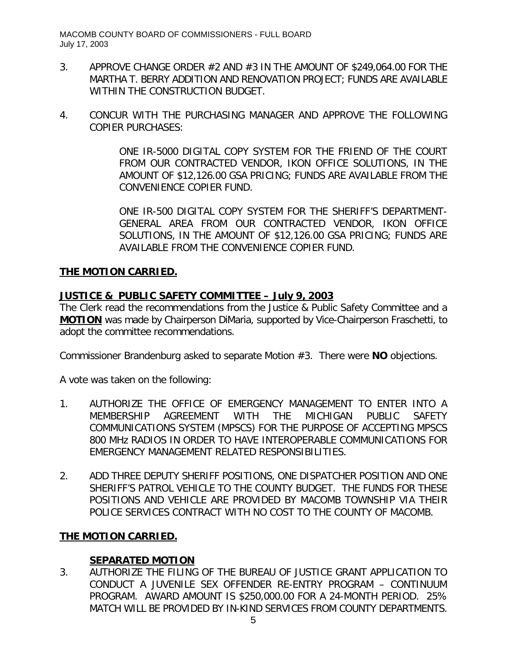- 3. APPROVE CHANGE ORDER #2 AND #3 IN THE AMOUNT OF \$249,064.00 FOR THE MARTHA T. BERRY ADDITION AND RENOVATION PROJECT; FUNDS ARE AVAILABLE WITHIN THE CONSTRUCTION BUDGET.
- 4. CONCUR WITH THE PURCHASING MANAGER AND APPROVE THE FOLLOWING COPIER PURCHASES:

ONE IR-5000 DIGITAL COPY SYSTEM FOR THE FRIEND OF THE COURT FROM OUR CONTRACTED VENDOR, IKON OFFICE SOLUTIONS, IN THE AMOUNT OF \$12,126.00 GSA PRICING; FUNDS ARE AVAILABLE FROM THE CONVENIENCE COPIER FUND.

ONE IR-500 DIGITAL COPY SYSTEM FOR THE SHERIFF'S DEPARTMENT-GENERAL AREA FROM OUR CONTRACTED VENDOR, IKON OFFICE SOLUTIONS, IN THE AMOUNT OF \$12,126.00 GSA PRICING; FUNDS ARE AVAILABLE FROM THE CONVENIENCE COPIER FUND.

## **THE MOTION CARRIED.**

## *JUSTICE & PUBLIC SAFETY COMMITTEE – July 9, 2003*

The Clerk read the recommendations from the Justice & Public Safety Committee and a **MOTION** was made by Chairperson DiMaria, supported by Vice-Chairperson Fraschetti, to adopt the committee recommendations.

Commissioner Brandenburg asked to separate Motion #3. There were **NO** objections.

A vote was taken on the following:

- 1. AUTHORIZE THE OFFICE OF EMERGENCY MANAGEMENT TO ENTER INTO A MEMBERSHIP AGREEMENT WITH THE MICHIGAN PUBLIC SAFETY COMMUNICATIONS SYSTEM (MPSCS) FOR THE PURPOSE OF ACCEPTING MPSCS 800 MHz RADIOS IN ORDER TO HAVE INTEROPERABLE COMMUNICATIONS FOR EMERGENCY MANAGEMENT RELATED RESPONSIBILITIES.
- 2. ADD THREE DEPUTY SHERIFF POSITIONS, ONE DISPATCHER POSITION AND ONE SHERIFF'S PATROL VEHICLE TO THE COUNTY BUDGET. THE FUNDS FOR THESE POSITIONS AND VEHICLE ARE PROVIDED BY MACOMB TOWNSHIP VIA THEIR POLICE SERVICES CONTRACT WITH NO COST TO THE COUNTY OF MACOMB.

## **THE MOTION CARRIED.**

## **SEPARATED MOTION**

3. AUTHORIZE THE FILING OF THE BUREAU OF JUSTICE GRANT APPLICATION TO CONDUCT A JUVENILE SEX OFFENDER RE-ENTRY PROGRAM – CONTINUUM PROGRAM. AWARD AMOUNT IS \$250,000.00 FOR A 24-MONTH PERIOD. 25% MATCH WILL BE PROVIDED BY IN-KIND SERVICES FROM COUNTY DEPARTMENTS.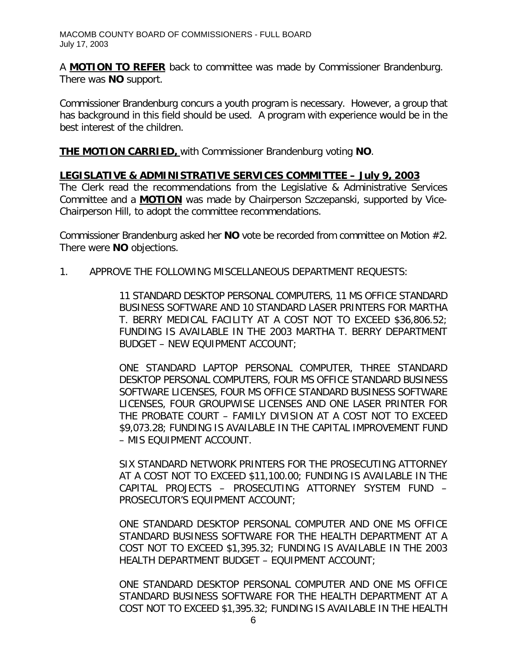A **MOTION TO REFER** back to committee was made by Commissioner Brandenburg. There was **NO** support.

Commissioner Brandenburg concurs a youth program is necessary. However, a group that has background in this field should be used. A program with experience would be in the best interest of the children.

**THE MOTION CARRIED,** with Commissioner Brandenburg voting **NO**.

## *LEGISLATIVE & ADMINISTRATIVE SERVICES COMMITTEE – July 9, 2003*

The Clerk read the recommendations from the Legislative & Administrative Services Committee and a **MOTION** was made by Chairperson Szczepanski, supported by Vice-Chairperson Hill, to adopt the committee recommendations.

Commissioner Brandenburg asked her **NO** vote be recorded from committee on Motion #2. There were **NO** objections.

1. APPROVE THE FOLLOWING MISCELLANEOUS DEPARTMENT REQUESTS:

11 STANDARD DESKTOP PERSONAL COMPUTERS, 11 MS OFFICE STANDARD BUSINESS SOFTWARE AND 10 STANDARD LASER PRINTERS FOR MARTHA T. BERRY MEDICAL FACILITY AT A COST NOT TO EXCEED \$36,806.52; FUNDING IS AVAILABLE IN THE 2003 MARTHA T. BERRY DEPARTMENT BUDGET – NEW EQUIPMENT ACCOUNT;

ONE STANDARD LAPTOP PERSONAL COMPUTER, THREE STANDARD DESKTOP PERSONAL COMPUTERS, FOUR MS OFFICE STANDARD BUSINESS SOFTWARE LICENSES, FOUR MS OFFICE STANDARD BUSINESS SOFTWARE LICENSES, FOUR GROUPWISE LICENSES AND ONE LASER PRINTER FOR THE PROBATE COURT – FAMILY DIVISION AT A COST NOT TO EXCEED \$9,073.28; FUNDING IS AVAILABLE IN THE CAPITAL IMPROVEMENT FUND – MIS EQUIPMENT ACCOUNT.

SIX STANDARD NETWORK PRINTERS FOR THE PROSECUTING ATTORNEY AT A COST NOT TO EXCEED \$11,100.00; FUNDING IS AVAILABLE IN THE CAPITAL PROJECTS – PROSECUTING ATTORNEY SYSTEM FUND – PROSECUTOR'S EQUIPMENT ACCOUNT;

ONE STANDARD DESKTOP PERSONAL COMPUTER AND ONE MS OFFICE STANDARD BUSINESS SOFTWARE FOR THE HEALTH DEPARTMENT AT A COST NOT TO EXCEED \$1,395.32; FUNDING IS AVAILABLE IN THE 2003 HEALTH DEPARTMENT BUDGET – EQUIPMENT ACCOUNT;

ONE STANDARD DESKTOP PERSONAL COMPUTER AND ONE MS OFFICE STANDARD BUSINESS SOFTWARE FOR THE HEALTH DEPARTMENT AT A COST NOT TO EXCEED \$1,395.32; FUNDING IS AVAILABLE IN THE HEALTH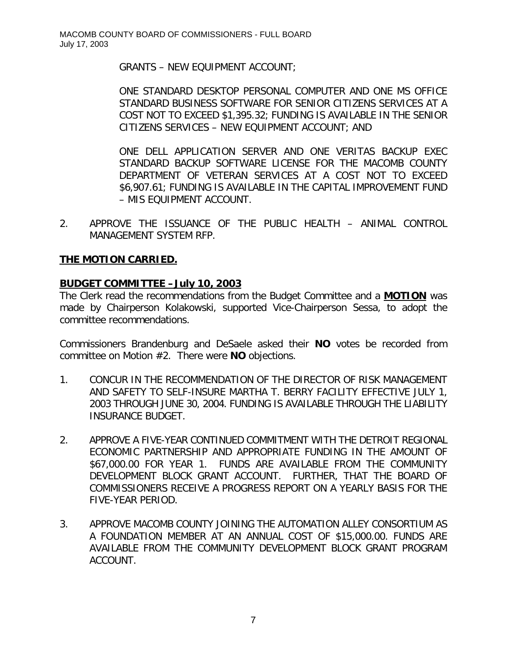GRANTS – NEW EQUIPMENT ACCOUNT;

ONE STANDARD DESKTOP PERSONAL COMPUTER AND ONE MS OFFICE STANDARD BUSINESS SOFTWARE FOR SENIOR CITIZENS SERVICES AT A COST NOT TO EXCEED \$1,395.32; FUNDING IS AVAILABLE IN THE SENIOR CITIZENS SERVICES – NEW EQUIPMENT ACCOUNT; AND

ONE DELL APPLICATION SERVER AND ONE VERITAS BACKUP EXEC STANDARD BACKUP SOFTWARE LICENSE FOR THE MACOMB COUNTY DEPARTMENT OF VETERAN SERVICES AT A COST NOT TO EXCEED \$6,907.61; FUNDING IS AVAILABLE IN THE CAPITAL IMPROVEMENT FUND – MIS EQUIPMENT ACCOUNT.

2. APPROVE THE ISSUANCE OF THE PUBLIC HEALTH – ANIMAL CONTROL MANAGEMENT SYSTEM RFP.

## **THE MOTION CARRIED.**

## *BUDGET COMMITTEE –July 10, 2003*

The Clerk read the recommendations from the Budget Committee and a **MOTION** was made by Chairperson Kolakowski, supported Vice-Chairperson Sessa, to adopt the committee recommendations.

Commissioners Brandenburg and DeSaele asked their **NO** votes be recorded from committee on Motion #2. There were **NO** objections.

- 1. CONCUR IN THE RECOMMENDATION OF THE DIRECTOR OF RISK MANAGEMENT AND SAFETY TO SELF-INSURE MARTHA T. BERRY FACILITY EFFECTIVE JULY 1, 2003 THROUGH JUNE 30, 2004. FUNDING IS AVAILABLE THROUGH THE LIABILITY INSURANCE BUDGET.
- 2. APPROVE A FIVE-YEAR CONTINUED COMMITMENT WITH THE DETROIT REGIONAL ECONOMIC PARTNERSHIP AND APPROPRIATE FUNDING IN THE AMOUNT OF \$67,000.00 FOR YEAR 1. FUNDS ARE AVAILABLE FROM THE COMMUNITY DEVELOPMENT BLOCK GRANT ACCOUNT. FURTHER, THAT THE BOARD OF COMMISSIONERS RECEIVE A PROGRESS REPORT ON A YEARLY BASIS FOR THE FIVE-YEAR PERIOD.
- 3. APPROVE MACOMB COUNTY JOINING THE AUTOMATION ALLEY CONSORTIUM AS A FOUNDATION MEMBER AT AN ANNUAL COST OF \$15,000.00. FUNDS ARE AVAILABLE FROM THE COMMUNITY DEVELOPMENT BLOCK GRANT PROGRAM ACCOUNT.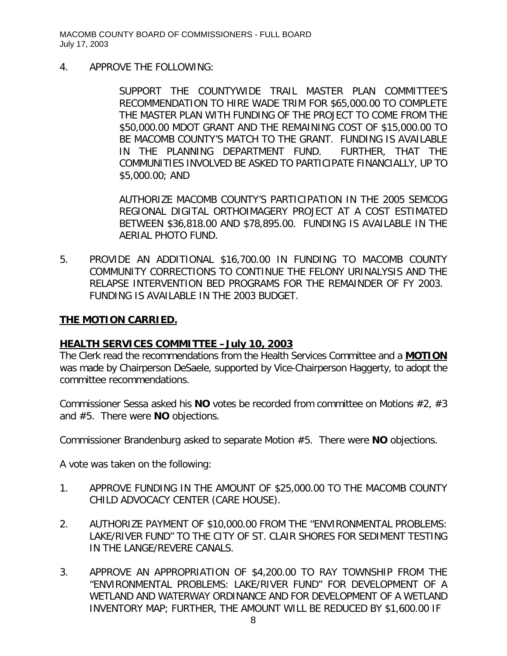4. APPROVE THE FOLLOWING:

SUPPORT THE COUNTYWIDE TRAIL MASTER PLAN COMMITTEE'S RECOMMENDATION TO HIRE WADE TRIM FOR \$65,000.00 TO COMPLETE THE MASTER PLAN WITH FUNDING OF THE PROJECT TO COME FROM THE \$50,000.00 MDOT GRANT AND THE REMAINING COST OF \$15,000.00 TO BE MACOMB COUNTY'S MATCH TO THE GRANT. FUNDING IS AVAILABLE IN THE PLANNING DEPARTMENT FUND. FURTHER, THAT THE COMMUNITIES INVOLVED BE ASKED TO PARTICIPATE FINANCIALLY, UP TO \$5,000.00; AND

AUTHORIZE MACOMB COUNTY'S PARTICIPATION IN THE 2005 SEMCOG REGIONAL DIGITAL ORTHOIMAGERY PROJECT AT A COST ESTIMATED BETWEEN \$36,818.00 AND \$78,895.00. FUNDING IS AVAILABLE IN THE AERIAL PHOTO FUND.

5. PROVIDE AN ADDITIONAL \$16,700.00 IN FUNDING TO MACOMB COUNTY COMMUNITY CORRECTIONS TO CONTINUE THE FELONY URINALYSIS AND THE RELAPSE INTERVENTION BED PROGRAMS FOR THE REMAINDER OF FY 2003. FUNDING IS AVAILABLE IN THE 2003 BUDGET.

### **THE MOTION CARRIED.**

#### *HEALTH SERVICES COMMITTEE –July 10, 2003*

The Clerk read the recommendations from the Health Services Committee and a **MOTION** was made by Chairperson DeSaele, supported by Vice-Chairperson Haggerty, to adopt the committee recommendations.

Commissioner Sessa asked his **NO** votes be recorded from committee on Motions #2, #3 and #5. There were **NO** objections.

Commissioner Brandenburg asked to separate Motion #5. There were **NO** objections.

A vote was taken on the following:

- 1. APPROVE FUNDING IN THE AMOUNT OF \$25,000.00 TO THE MACOMB COUNTY CHILD ADVOCACY CENTER (CARE HOUSE).
- 2. AUTHORIZE PAYMENT OF \$10,000.00 FROM THE "ENVIRONMENTAL PROBLEMS: LAKE/RIVER FUND" TO THE CITY OF ST. CLAIR SHORES FOR SEDIMENT TESTING IN THE LANGE/REVERE CANALS.
- 3. APPROVE AN APPROPRIATION OF \$4,200.00 TO RAY TOWNSHIP FROM THE "ENVIRONMENTAL PROBLEMS: LAKE/RIVER FUND" FOR DEVELOPMENT OF A WETLAND AND WATERWAY ORDINANCE AND FOR DEVELOPMENT OF A WETLAND INVENTORY MAP; FURTHER, THE AMOUNT WILL BE REDUCED BY \$1,600.00 IF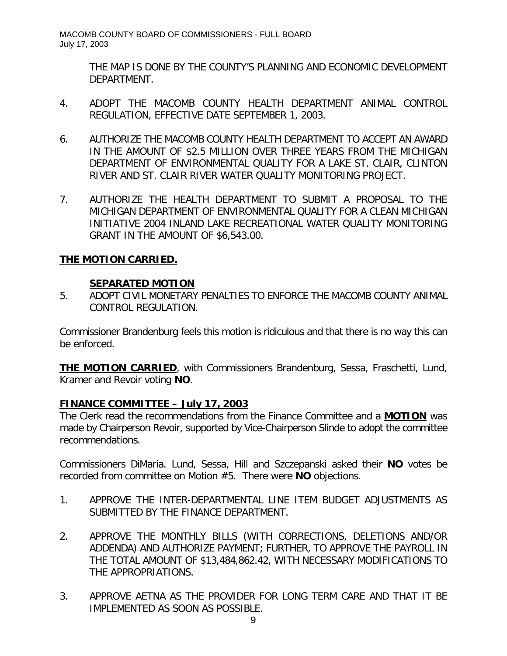> THE MAP IS DONE BY THE COUNTY'S PLANNING AND ECONOMIC DEVELOPMENT DEPARTMENT.

- 4. ADOPT THE MACOMB COUNTY HEALTH DEPARTMENT ANIMAL CONTROL REGULATION, EFFECTIVE DATE SEPTEMBER 1, 2003.
- 6. AUTHORIZE THE MACOMB COUNTY HEALTH DEPARTMENT TO ACCEPT AN AWARD IN THE AMOUNT OF \$2.5 MILLION OVER THREE YEARS FROM THE MICHIGAN DEPARTMENT OF ENVIRONMENTAL QUALITY FOR A LAKE ST. CLAIR, CLINTON RIVER AND ST. CLAIR RIVER WATER QUALITY MONITORING PROJECT.
- 7. AUTHORIZE THE HEALTH DEPARTMENT TO SUBMIT A PROPOSAL TO THE MICHIGAN DEPARTMENT OF ENVIRONMENTAL QUALITY FOR A CLEAN MICHIGAN INITIATIVE 2004 INLAND LAKE RECREATIONAL WATER QUALITY MONITORING GRANT IN THE AMOUNT OF \$6,543.00.

## **THE MOTION CARRIED.**

### **SEPARATED MOTION**

5. ADOPT CIVIL MONETARY PENALTIES TO ENFORCE THE MACOMB COUNTY ANIMAL CONTROL REGULATION.

Commissioner Brandenburg feels this motion is ridiculous and that there is no way this can be enforced.

**THE MOTION CARRIED**, with Commissioners Brandenburg, Sessa, Fraschetti, Lund, Kramer and Revoir voting **NO**.

### *FINANCE COMMITTEE – July 17, 2003*

The Clerk read the recommendations from the Finance Committee and a **MOTION** was made by Chairperson Revoir, supported by Vice-Chairperson Slinde to adopt the committee recommendations.

Commissioners DiMaria. Lund, Sessa, Hill and Szczepanski asked their **NO** votes be recorded from committee on Motion #5. There were **NO** objections.

- 1. APPROVE THE INTER-DEPARTMENTAL LINE ITEM BUDGET ADJUSTMENTS AS SUBMITTED BY THE FINANCE DEPARTMENT.
- 2. APPROVE THE MONTHLY BILLS (WITH CORRECTIONS, DELETIONS AND/OR ADDENDA) AND AUTHORIZE PAYMENT; FURTHER, TO APPROVE THE PAYROLL IN THE TOTAL AMOUNT OF \$13,484,862.42, WITH NECESSARY MODIFICATIONS TO THE APPROPRIATIONS.
- 3. APPROVE AETNA AS THE PROVIDER FOR LONG TERM CARE AND THAT IT BE IMPLEMENTED AS SOON AS POSSIBLE.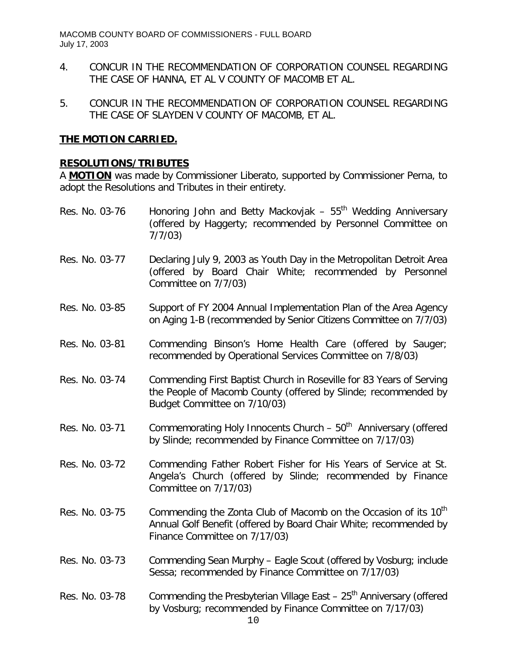- 4. CONCUR IN THE RECOMMENDATION OF CORPORATION COUNSEL REGARDING THE CASE OF HANNA, ET AL V COUNTY OF MACOMB ET AL.
- 5. CONCUR IN THE RECOMMENDATION OF CORPORATION COUNSEL REGARDING THE CASE OF SLAYDEN V COUNTY OF MACOMB, ET AL.

### **THE MOTION CARRIED.**

### **RESOLUTIONS/TRIBUTES**

A **MOTION** was made by Commissioner Liberato, supported by Commissioner Perna, to adopt the Resolutions and Tributes in their entirety.

- Res. No. 03-76 Honoring John and Betty Mackovjak  $-55<sup>th</sup>$  Wedding Anniversary (offered by Haggerty; recommended by Personnel Committee on 7/7/03)
- Res. No. 03-77 Declaring July 9, 2003 as Youth Day in the Metropolitan Detroit Area (offered by Board Chair White; recommended by Personnel Committee on 7/7/03)
- Res. No. 03-85 Support of FY 2004 Annual Implementation Plan of the Area Agency on Aging 1-B (recommended by Senior Citizens Committee on 7/7/03)
- Res. No. 03-81 Commending Binson's Home Health Care (offered by Sauger; recommended by Operational Services Committee on 7/8/03)
- Res. No. 03-74 Commending First Baptist Church in Roseville for 83 Years of Serving the People of Macomb County (offered by Slinde; recommended by Budget Committee on 7/10/03)
- Res. No. 03-71 Commemorating Holy Innocents Church  $50<sup>th</sup>$  Anniversary (offered by Slinde; recommended by Finance Committee on 7/17/03)
- Res. No. 03-72 Commending Father Robert Fisher for His Years of Service at St. Angela's Church (offered by Slinde; recommended by Finance Committee on 7/17/03)
- Res. No. 03-75 Commending the Zonta Club of Macomb on the Occasion of its  $10<sup>th</sup>$ Annual Golf Benefit (offered by Board Chair White; recommended by Finance Committee on 7/17/03)
- Res. No. 03-73 Commending Sean Murphy Eagle Scout (offered by Vosburg; include Sessa; recommended by Finance Committee on 7/17/03)
- Res. No. 03-78 Commending the Presbyterian Village East  $-25<sup>th</sup>$  Anniversary (offered by Vosburg; recommended by Finance Committee on 7/17/03)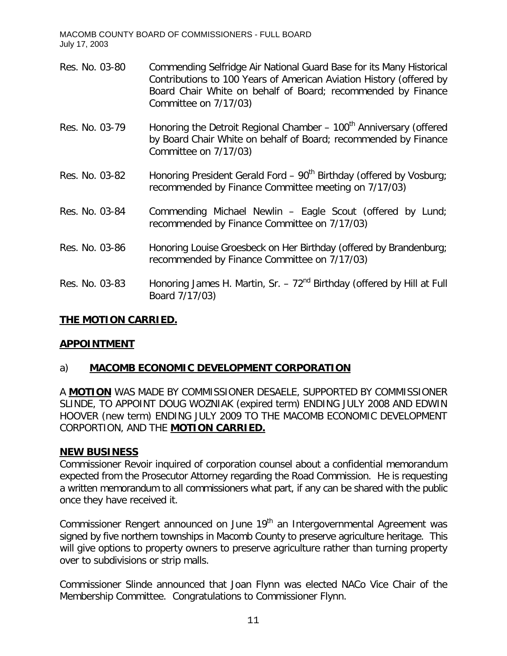- Res. No. 03-80 Commending Selfridge Air National Guard Base for its Many Historical Contributions to 100 Years of American Aviation History (offered by Board Chair White on behalf of Board; recommended by Finance Committee on 7/17/03)
- Res. No. 03-79 Honoring the Detroit Regional Chamber  $-100<sup>th</sup>$  Anniversary (offered by Board Chair White on behalf of Board; recommended by Finance Committee on 7/17/03)
- Res. No. 03-82 Honoring President Gerald Ford  $90<sup>th</sup>$  Birthday (offered by Vosburg; recommended by Finance Committee meeting on 7/17/03)
- Res. No. 03-84 Commending Michael Newlin Eagle Scout (offered by Lund; recommended by Finance Committee on 7/17/03)
- Res. No. 03-86 Honoring Louise Groesbeck on Her Birthday (offered by Brandenburg; recommended by Finance Committee on 7/17/03)
- Res. No. 03-83 Honoring James H. Martin, Sr.  $72<sup>nd</sup>$  Birthday (offered by Hill at Full Board 7/17/03)

## **THE MOTION CARRIED.**

### **APPOINTMENT**

## a) **MACOMB ECONOMIC DEVELOPMENT CORPORATION**

A **MOTION** WAS MADE BY COMMISSIONER DESAELE, SUPPORTED BY COMMISSIONER SLINDE, TO APPOINT DOUG WOZNIAK (*expired term)* ENDING JULY 2008 AND EDWIN HOOVER (*new term*) ENDING JULY 2009 TO THE MACOMB ECONOMIC DEVELOPMENT CORPORTION, AND THE **MOTION CARRIED.**

### **NEW BUSINESS**

Commissioner Revoir inquired of corporation counsel about a confidential memorandum expected from the Prosecutor Attorney regarding the Road Commission. He is requesting a written memorandum to all commissioners what part, if any can be shared with the public once they have received it.

Commissioner Rengert announced on June 19<sup>th</sup> an Intergovernmental Agreement was signed by five northern townships in Macomb County to preserve agriculture heritage. This will give options to property owners to preserve agriculture rather than turning property over to subdivisions or strip malls.

Commissioner Slinde announced that Joan Flynn was elected NACo Vice Chair of the Membership Committee. Congratulations to Commissioner Flynn.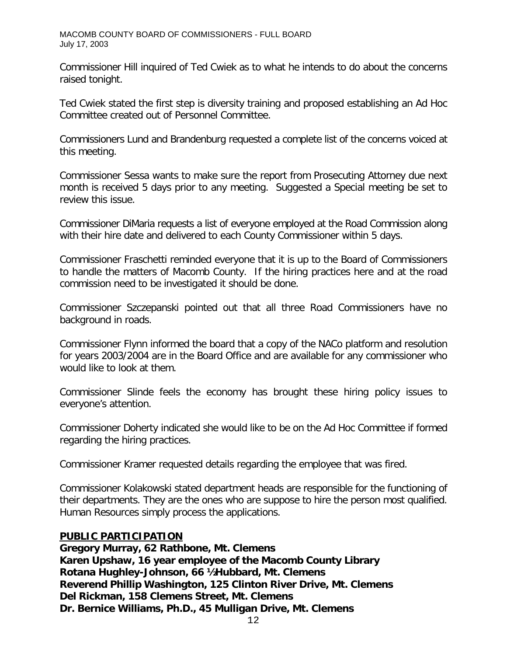Commissioner Hill inquired of Ted Cwiek as to what he intends to do about the concerns raised tonight.

Ted Cwiek stated the first step is diversity training and proposed establishing an Ad Hoc Committee created out of Personnel Committee.

Commissioners Lund and Brandenburg requested a complete list of the concerns voiced at this meeting.

Commissioner Sessa wants to make sure the report from Prosecuting Attorney due next month is received 5 days prior to any meeting. Suggested a Special meeting be set to review this issue.

Commissioner DiMaria requests a list of everyone employed at the Road Commission along with their hire date and delivered to each County Commissioner within 5 days.

Commissioner Fraschetti reminded everyone that it is up to the Board of Commissioners to handle the matters of Macomb County. If the hiring practices here and at the road commission need to be investigated it should be done.

Commissioner Szczepanski pointed out that all three Road Commissioners have no background in roads.

Commissioner Flynn informed the board that a copy of the NACo platform and resolution for years 2003/2004 are in the Board Office and are available for any commissioner who would like to look at them.

Commissioner Slinde feels the economy has brought these hiring policy issues to everyone's attention.

Commissioner Doherty indicated she would like to be on the Ad Hoc Committee if formed regarding the hiring practices.

Commissioner Kramer requested details regarding the employee that was fired.

Commissioner Kolakowski stated department heads are responsible for the functioning of their departments. They are the ones who are suppose to hire the person most qualified. Human Resources simply process the applications.

## **PUBLIC PARTICIPATION**

*Gregory Murray, 62 Rathbone, Mt. Clemens Karen Upshaw, 16 year employee of the Macomb County Library Rotana Hughley-Johnson, 66 ½ Hubbard, Mt. Clemens Reverend Phillip Washington, 125 Clinton River Drive, Mt. Clemens Del Rickman, 158 Clemens Street, Mt. Clemens Dr. Bernice Williams, Ph.D., 45 Mulligan Drive, Mt. Clemens*